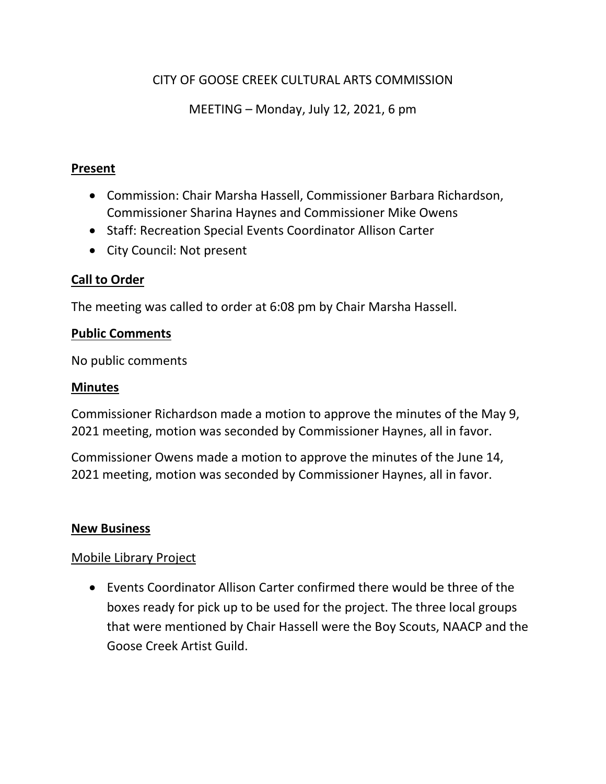# CITY OF GOOSE CREEK CULTURAL ARTS COMMISSION

MEETING – Monday, July 12, 2021, 6 pm

#### **Present**

- Commission: Chair Marsha Hassell, Commissioner Barbara Richardson, Commissioner Sharina Haynes and Commissioner Mike Owens
- Staff: Recreation Special Events Coordinator Allison Carter
- City Council: Not present

### **Call to Order**

The meeting was called to order at 6:08 pm by Chair Marsha Hassell.

#### **Public Comments**

No public comments

#### **Minutes**

Commissioner Richardson made a motion to approve the minutes of the May 9, 2021 meeting, motion was seconded by Commissioner Haynes, all in favor.

Commissioner Owens made a motion to approve the minutes of the June 14, 2021 meeting, motion was seconded by Commissioner Haynes, all in favor.

#### **New Business**

### Mobile Library Project

 Events Coordinator Allison Carter confirmed there would be three of the boxes ready for pick up to be used for the project. The three local groups that were mentioned by Chair Hassell were the Boy Scouts, NAACP and the Goose Creek Artist Guild.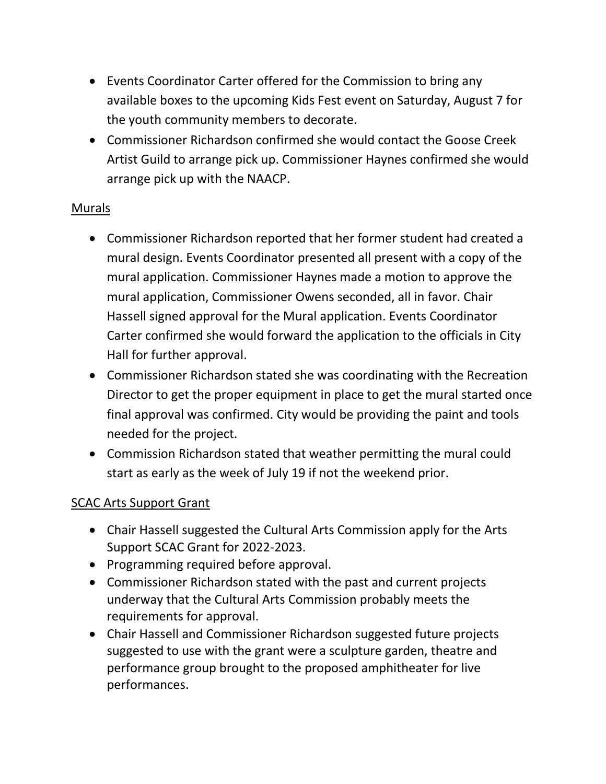- Events Coordinator Carter offered for the Commission to bring any available boxes to the upcoming Kids Fest event on Saturday, August 7 for the youth community members to decorate.
- Commissioner Richardson confirmed she would contact the Goose Creek Artist Guild to arrange pick up. Commissioner Haynes confirmed she would arrange pick up with the NAACP.

## Murals

- Commissioner Richardson reported that her former student had created a mural design. Events Coordinator presented all present with a copy of the mural application. Commissioner Haynes made a motion to approve the mural application, Commissioner Owens seconded, all in favor. Chair Hassell signed approval for the Mural application. Events Coordinator Carter confirmed she would forward the application to the officials in City Hall for further approval.
- Commissioner Richardson stated she was coordinating with the Recreation Director to get the proper equipment in place to get the mural started once final approval was confirmed. City would be providing the paint and tools needed for the project.
- Commission Richardson stated that weather permitting the mural could start as early as the week of July 19 if not the weekend prior.

### SCAC Arts Support Grant

- Chair Hassell suggested the Cultural Arts Commission apply for the Arts Support SCAC Grant for 2022-2023.
- Programming required before approval.
- Commissioner Richardson stated with the past and current projects underway that the Cultural Arts Commission probably meets the requirements for approval.
- Chair Hassell and Commissioner Richardson suggested future projects suggested to use with the grant were a sculpture garden, theatre and performance group brought to the proposed amphitheater for live performances.